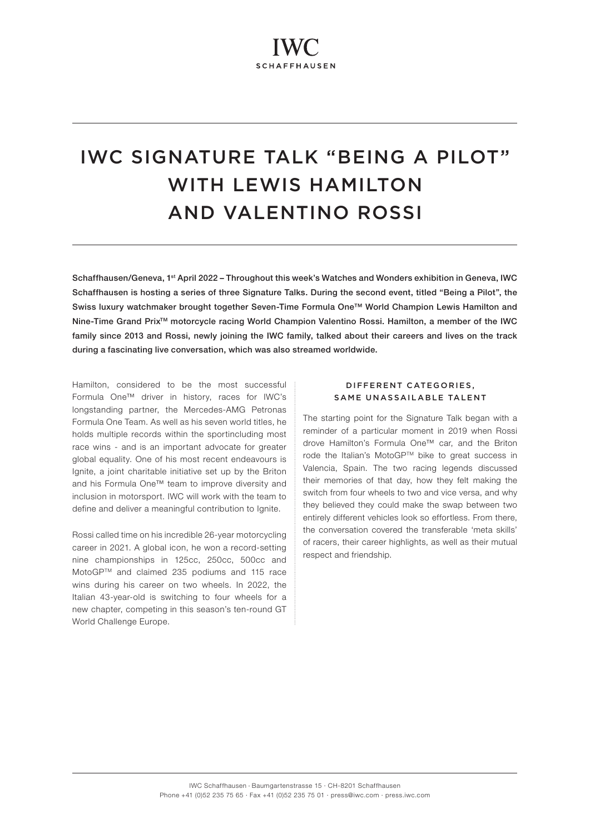# IWC SIGNATURE TALK "BEING A PILOT" WITH LEWIS HAMILTON AND VALENTINO ROSSI

Schaffhausen/Geneva, 1<sup>st</sup> April 2022 – Throughout this week's Watches and Wonders exhibition in Geneva, IWC Schaffhausen is hosting a series of three Signature Talks. During the second event, titled "Being a Pilot", the Swiss luxury watchmaker brought together Seven-Time Formula One™ World Champion Lewis Hamilton and Nine-Time Grand Prix<sup>™</sup> motorcycle racing World Champion Valentino Rossi. Hamilton, a member of the IWC family since 2013 and Rossi, newly joining the IWC family, talked about their careers and lives on the track during a fascinating live conversation, which was also streamed worldwide.

Hamilton, considered to be the most successful Formula One™ driver in history, races for IWC's longstanding partner, the Mercedes-AMG Petronas Formula One Team. As well as his seven world titles, he holds multiple records within the sportincluding most race wins - and is an important advocate for greater global equality. One of his most recent endeavours is Ignite, a joint charitable initiative set up by the Briton and his Formula One™ team to improve diversity and inclusion in motorsport. IWC will work with the team to define and deliver a meaningful contribution to Ignite.

Rossi called time on his incredible 26-year motorcycling career in 2021. A global icon, he won a record-setting nine championships in 125cc, 250cc, 500cc and MotoGPTM and claimed 235 podiums and 115 race wins during his career on two wheels. In 2022, the Italian 43-year-old is switching to four wheels for a new chapter, competing in this season's ten-round GT World Challenge Europe.

## DIFFERENT CATEGORIES, SAME UNASSAILABLE TALENT

The starting point for the Signature Talk began with a reminder of a particular moment in 2019 when Rossi drove Hamilton's Formula One™ car, and the Briton rode the Italian's MotoGP™ bike to great success in Valencia, Spain. The two racing legends discussed their memories of that day, how they felt making the switch from four wheels to two and vice versa, and why they believed they could make the swap between two entirely different vehicles look so effortless. From there, the conversation covered the transferable 'meta skills' of racers, their career highlights, as well as their mutual respect and friendship.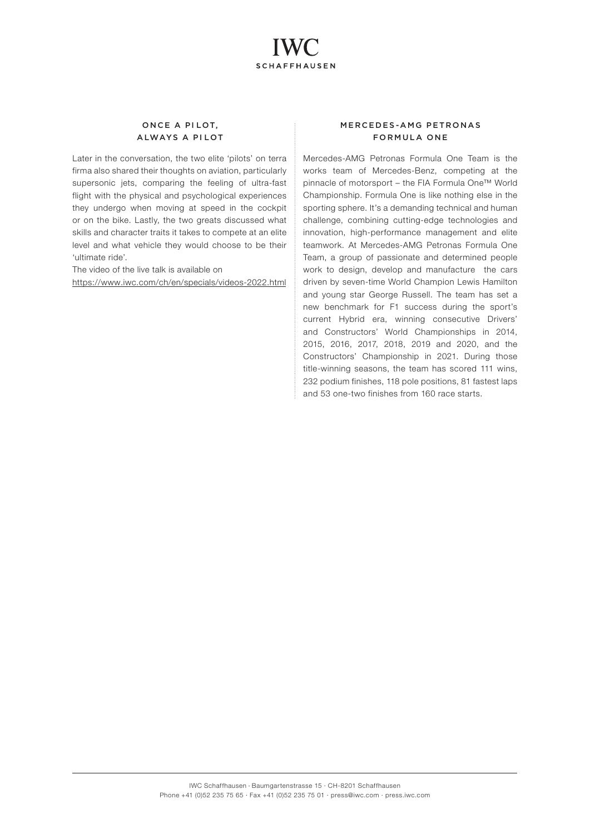

## ONCE A PILOT, ALWAYS A PI LOT

Later in the conversation, the two elite 'pilots' on terra firma also shared their thoughts on aviation, particularly supersonic jets, comparing the feeling of ultra-fast flight with the physical and psychological experiences they undergo when moving at speed in the cockpit or on the bike. Lastly, the two greats discussed what skills and character traits it takes to compete at an elite level and what vehicle they would choose to be their 'ultimate ride'.

The video of the live talk is available on <https://www.iwc.com/ch/en/specials/videos-2022.html>

## MERCEDES-AMG PETRONAS FORMULA ONE

Mercedes-AMG Petronas Formula One Team is the works team of Mercedes-Benz, competing at the pinnacle of motorsport – the FIA Formula One™ World Championship. Formula One is like nothing else in the sporting sphere. It's a demanding technical and human challenge, combining cutting-edge technologies and innovation, high-performance management and elite teamwork. At Mercedes-AMG Petronas Formula One Team, a group of passionate and determined people work to design, develop and manufacture the cars driven by seven-time World Champion Lewis Hamilton and young star George Russell. The team has set a new benchmark for F1 success during the sport's current Hybrid era, winning consecutive Drivers' and Constructors' World Championships in 2014, 2015, 2016, 2017, 2018, 2019 and 2020, and the Constructors' Championship in 2021. During those title-winning seasons, the team has scored 111 wins, 232 podium finishes, 118 pole positions, 81 fastest laps and 53 one-two finishes from 160 race starts.